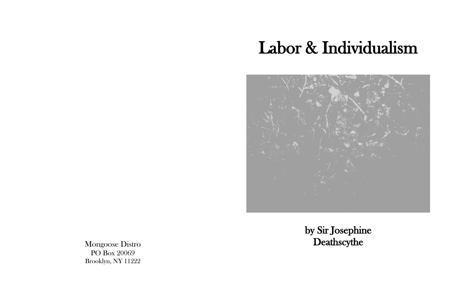## Labor & Individualism



## by Sir Josephine

Mongoose Distro **Deathscythe** PO Box 20069 Brooklyn, NY 11222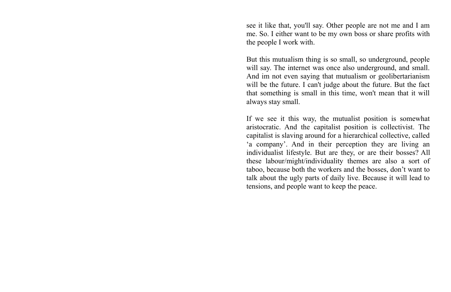see it like that, you'll say. Other people are not me and I am me. So. I either want to be my own boss or share profits with the people I work with.

But this mutualism thing is so small, so underground, people will say. The internet was once also underground, and small. And im not even saying that mutualism or geolibertarianism will be the future. I can't judge about the future. But the fact that something is small in this time, won't mean that it will always stay small.

If we see it this way, the mutualist position is somewhat aristocratic. And the capitalist position is collectivist. The capitalist is slaving around for a hierarchical collective, called 'a company'. And in their perception they are living an individualist lifestyle. But are they, or are their bosses? All these labour/might/individuality themes are also a sort of taboo, because both the workers and the bosses, don't want to talk about the ugly parts of daily live. Because it will lead to tensions, and people want to keep the peace.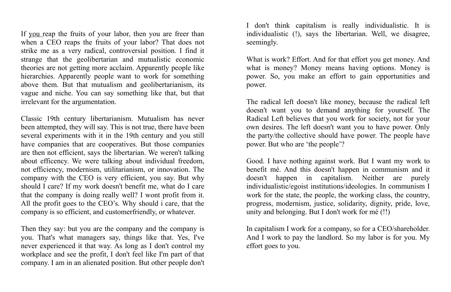I don't think capitalism is really individualistic. It is individualistic (!), says the libertarian. Well, we disagree, seemingly.

What is work? Effort. And for that effort you get money. And what is money? Money means having options. Money is power. So, you make an effort to gain opportunities and power.

The radical left doesn't like money, because the radical left doesn't want you to demand anything for yourself. The Radical Left believes that you work for society, not for your own desires. The left doesn't want you to have power. Only the party/the collective should have power. The people have power. But who are 'the people'?

Good. I have nothing against work. But I want my work to benefit mé. And this doesn't happen in communism and it doesn't happen in capitalism. Neither are purely individualistic/egoist institutions/ideologies. In communism I work for the state, the people, the working class, the country, progress, modernism, justice, solidarity, dignity, pride, love, unity and belonging. But I don't work for mé (!!)

If you reap the fruits of your labor, then you are freer than when a CEO reaps the fruits of your labor? That does not strike me as a very radical, controversial position. I find it strange that the geolibertarian and mutualistic economic theories are not getting more acclaim. Apparently people like hierarchies. Apparently people want to work for something above them. But that mutualism and geolibertarianism, its vague and niche. You can say something like that, but that irrelevant for the argumentation.

> In capitalism I work for a company, so for a CEO/shareholder. And I work to pay the landlord. So my labor is for you. My effort goes to you.

Classic 19th century libertarianism. Mutualism has never been attempted, they will say. This is not true, there have been several experiments with it in the 19th century and you still have companies that are cooperatives. But those companies are then not efficient, says the libertarian. We weren't talking about efficency. We were talking about individual freedom, not efficiency, modernism, utilitarianism, or innovation. The company with the CEO is very efficient, you say. But why should I care? If my work doesn't benefit me, what do I care that the company is doing really well? I wont profit from it. All the profit goes to the CEO's. Why should i care, that the company is so efficient, and customerfriendly, or whatever.

Then they say: but you are the company and the company is you. That's what managers say, things like that. Yes, I've never experienced it that way. As long as I don't control my workplace and see the profit, I don't feel like I'm part of that company. I am in an alienated position. But other people don't